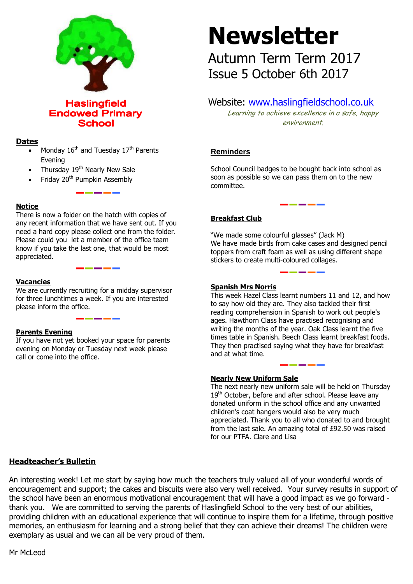

**Haslingfield Endowed Primary School** 

# **Dates**

- Monday  $16<sup>th</sup>$  and Tuesday  $17<sup>th</sup>$  Parents Evening
- Thursday  $19<sup>th</sup>$  Nearly New Sale
- Friday  $20<sup>th</sup>$  Pumpkin Assembly

## **Notice**

There is now a folder on the hatch with copies of any recent information that we have sent out. If you need a hard copy please collect one from the folder. Please could you let a member of the office team know if you take the last one, that would be most appreciated.

## **Vacancies**

We are currently recruiting for a midday supervisor for three lunchtimes a week. If you are interested please inform the office.

## **Parents Evening**

If you have not yet booked your space for parents evening on Monday or Tuesday next week please call or come into the office.

# **Newsletter**

Autumn Term Term 2017 Issue 5 October 6th 2017

# Website: [www.haslingfieldschool.co.uk](http://www.haslingfieldschool.co.uk/)

Learning to achieve excellence in a safe, happy environment.

# **Reminders**

School Council badges to be bought back into school as soon as possible so we can pass them on to the new committee.

# **Breakfast Club**

"We made some colourful glasses" (Jack M) We have made birds from cake cases and designed pencil toppers from craft foam as well as using different shape stickers to create multi-coloured collages.

#### **Spanish Mrs Norris**

 They then practised saying what they have for breakfast This week Hazel Class learnt numbers 11 and 12, and how to say how old they are. They also tackled their first reading comprehension in Spanish to work out people's ages. Hawthorn Class have practised recognising and writing the months of the year. Oak Class learnt the five times table in Spanish. Beech Class learnt breakfast foods. and at what time.

## **Nearly New Uniform Sale**

The next nearly new uniform sale will be held on Thursday 19<sup>th</sup> October, before and after school. Please leave any donated uniform in the school office and any unwanted children's coat hangers would also be very much appreciated. Thank you to all who donated to and brought from the last sale. An amazing total of £92.50 was raised for our PTFA. Clare and Lisa

# **Headteacher's Bulletin**

An interesting week! Let me start by saying how much the teachers truly valued all of your wonderful words of encouragement and support; the cakes and biscuits were also very well received. Your survey results in support of the school have been an enormous motivational encouragement that will have a good impact as we go forward thank you. We are committed to serving the parents of Haslingfield School to the very best of our abilities, providing children with an educational experience that will continue to inspire them for a lifetime, through positive memories, an enthusiasm for learning and a strong belief that they can achieve their dreams! The children were exemplary as usual and we can all be very proud of them.